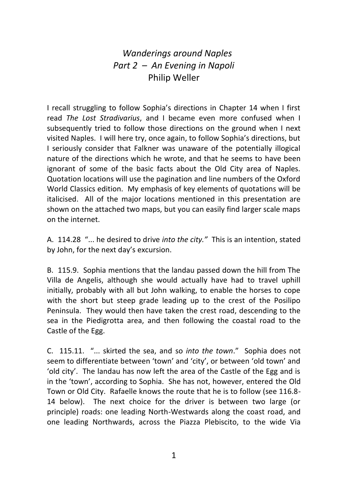## *Wanderings around Naples Part 2 – An Evening in Napoli*  Philip Weller

I recall struggling to follow Sophia's directions in Chapter 14 when I first read *The Lost Stradivarius*, and I became even more confused when I subsequently tried to follow those directions on the ground when I next visited Naples. I will here try, once again, to follow Sophia's directions, but I seriously consider that Falkner was unaware of the potentially illogical nature of the directions which he wrote, and that he seems to have been ignorant of some of the basic facts about the Old City area of Naples. Quotation locations will use the pagination and line numbers of the Oxford World Classics edition. My emphasis of key elements of quotations will be italicised. All of the major locations mentioned in this presentation are shown on the attached two maps, but you can easily find larger scale maps on the internet.

A. 114.28 "... he desired to drive *into the city."* This is an intention, stated by John, for the next day's excursion.

B. 115.9. Sophia mentions that the landau passed down the hill from The Villa de Angelis, although she would actually have had to travel uphill initially, probably with all but John walking, to enable the horses to cope with the short but steep grade leading up to the crest of the Posilipo Peninsula. They would then have taken the crest road, descending to the sea in the Piedigrotta area, and then following the coastal road to the Castle of the Egg.

C. 115.11. "... skirted the sea, and so *into the town*." Sophia does not seem to differentiate between 'town' and 'city', or between 'old town' and 'old city'. The landau has now left the area of the Castle of the Egg and is in the 'town', according to Sophia. She has not, however, entered the Old Town or Old City. Rafaelle knows the route that he is to follow (see 116.8- 14 below). The next choice for the driver is between two large (or principle) roads: one leading North-Westwards along the coast road, and one leading Northwards, across the Piazza Plebiscito, to the wide Via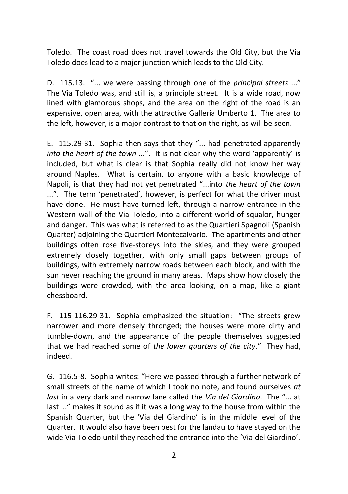Toledo. The coast road does not travel towards the Old City, but the Via Toledo does lead to a major junction which leads to the Old City.

D. 115.13. "... we were passing through one of the *principal streets* ..." The Via Toledo was, and still is, a principle street. It is a wide road, now lined with glamorous shops, and the area on the right of the road is an expensive, open area, with the attractive Galleria Umberto 1. The area to the left, however, is a major contrast to that on the right, as will be seen.

E. 115.29-31. Sophia then says that they "... had penetrated apparently *into the heart of the town* ...". It is not clear why the word 'apparently' is included, but what is clear is that Sophia really did not know her way around Naples. What is certain, to anyone with a basic knowledge of Napoli, is that they had not yet penetrated "...into *the heart of the town* ...". The term 'penetrated', however, is perfect for what the driver must have done. He must have turned left, through a narrow entrance in the Western wall of the Via Toledo, into a different world of squalor, hunger and danger. This was what is referred to as the Quartieri Spagnoli (Spanish Quarter) adjoining the Quartieri Montecalvario. The apartments and other buildings often rose five-storeys into the skies, and they were grouped extremely closely together, with only small gaps between groups of buildings, with extremely narrow roads between each block, and with the sun never reaching the ground in many areas. Maps show how closely the buildings were crowded, with the area looking, on a map, like a giant chessboard.

F. 115-116.29-31. Sophia emphasized the situation: "The streets grew narrower and more densely thronged; the houses were more dirty and tumble-down, and the appearance of the people themselves suggested that we had reached some of *the lower quarters of the city*." They had, indeed.

G. 116.5-8. Sophia writes: "Here we passed through a further network of small streets of the name of which I took no note, and found ourselves *at last* in a very dark and narrow lane called the *Via del Giardino*. The "... at last ..." makes it sound as if it was a long way to the house from within the Spanish Quarter, but the 'Via del Giardino' is in the middle level of the Quarter. It would also have been best for the landau to have stayed on the wide Via Toledo until they reached the entrance into the 'Via del Giardino'.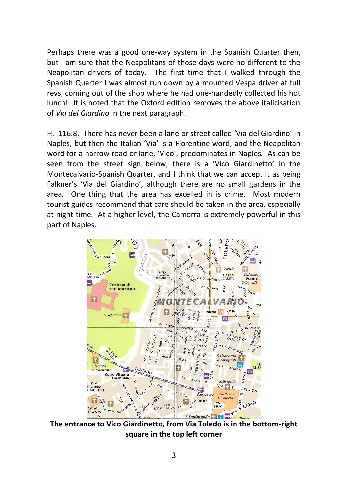Perhaps there was a good one-way system in the Spanish Quarter then, but I am sure that the Neapolitans of those days were no different to the Neapolitan drivers of today. The first time that I walked through the Spanish Quarter I was almost run down by a mounted Vespa driver at full revs, coming out of the shop where he had one-handedly collected his hot lunch! It is noted that the Oxford edition removes the above italicisation of *Via del Giardino* in the next paragraph.

H. 116.8. There has never been a lane or street called 'Via del Giardino' in Naples, but then the Italian 'Via' is a Florentine word, and the Neapolitan word for a narrow road or lane, 'Vico', predominates in Naples. As can be seen from the street sign below, there is a 'Vico Giardinetto' in the Montecalvario-Spanish Quarter, and I think that we can accept it as being Falkner's 'Via del Giardino', although there are no small gardens in the area. One thing that the area has excelled in is crime. Most modern tourist guides recommend that care should be taken in the area, especially at night time. At a higher level, the Camorra is extremely powerful in this part of Naples.



**The entrance to Vico Giardinetto, from Via Toledo is in the bottom-right square in the top left corner**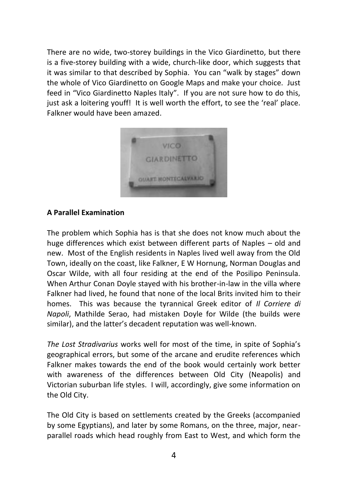There are no wide, two-storey buildings in the Vico Giardinetto, but there is a five-storey building with a wide, church-like door, which suggests that it was similar to that described by Sophia. You can "walk by stages" down the whole of Vico Giardinetto on Google Maps and make your choice. Just feed in "Vico Giardinetto Naples Italy". If you are not sure how to do this, just ask a loitering youff! It is well worth the effort, to see the 'real' place. Falkner would have been amazed.



## **A Parallel Examination**

The problem which Sophia has is that she does not know much about the huge differences which exist between different parts of Naples – old and new. Most of the English residents in Naples lived well away from the Old Town, ideally on the coast, like Falkner, E W Hornung, Norman Douglas and Oscar Wilde, with all four residing at the end of the Posilipo Peninsula. When Arthur Conan Doyle stayed with his brother-in-law in the villa where Falkner had lived, he found that none of the local Brits invited him to their homes. This was because the tyrannical Greek editor of *Il Corriere di Napoli*, Mathilde Serao, had mistaken Doyle for Wilde (the builds were similar), and the latter's decadent reputation was well-known.

*The Lost Stradivarius* works well for most of the time, in spite of Sophia's geographical errors, but some of the arcane and erudite references which Falkner makes towards the end of the book would certainly work better with awareness of the differences between Old City (Neapolis) and Victorian suburban life styles. I will, accordingly, give some information on the Old City.

The Old City is based on settlements created by the Greeks (accompanied by some Egyptians), and later by some Romans, on the three, major, nearparallel roads which head roughly from East to West, and which form the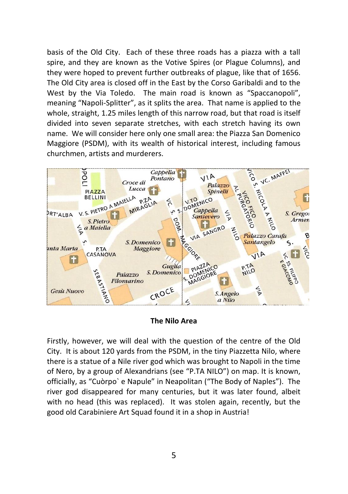basis of the Old City. Each of these three roads has a piazza with a tall spire, and they are known as the Votive Spires (or Plague Columns), and they were hoped to prevent further outbreaks of plague, like that of 1656. The Old City area is closed off in the East by the Corso Garibaldi and to the West by the Via Toledo. The main road is known as "Spaccanopoli", meaning "Napoli-Splitter", as it splits the area. That name is applied to the whole, straight, 1.25 miles length of this narrow road, but that road is itself divided into seven separate stretches, with each stretch having its own name. We will consider here only one small area: the Piazza San Domenico Maggiore (PSDM), with its wealth of historical interest, including famous churchmen, artists and murderers.



## **The Nilo Area**

Firstly, however, we will deal with the question of the centre of the Old City. It is about 120 yards from the PSDM, in the tiny Piazzetta Nilo, where there is a statue of a Nile river god which was brought to Napoli in the time of Nero, by a group of Alexandrians (see "P.TA NILO") on map. It is known, officially, as "Cuòrpo` e Napule" in Neapolitan ("The Body of Naples"). The river god disappeared for many centuries, but it was later found, albeit with no head (this was replaced). It was stolen again, recently, but the good old Carabiniere Art Squad found it in a shop in Austria!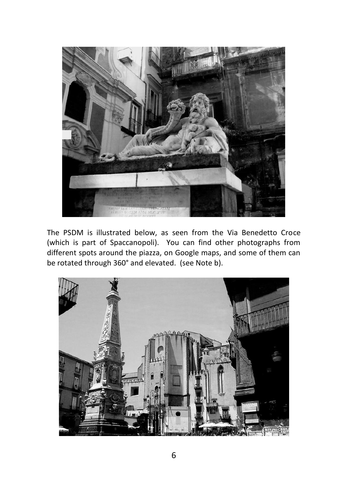

The PSDM is illustrated below, as seen from the Via Benedetto Croce (which is part of Spaccanopoli). You can find other photographs from different spots around the piazza, on Google maps, and some of them can be rotated through 360° and elevated. (see Note b).

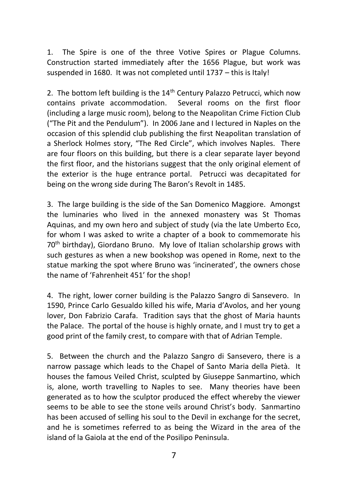1. The Spire is one of the three Votive Spires or Plague Columns. Construction started immediately after the 1656 Plague, but work was suspended in 1680. It was not completed until 1737 – this is Italy!

2. The bottom left building is the  $14<sup>th</sup>$  Century Palazzo Petrucci, which now contains private accommodation. Several rooms on the first floor (including a large music room), belong to the Neapolitan Crime Fiction Club ("The Pit and the Pendulum"). In 2006 Jane and I lectured in Naples on the occasion of this splendid club publishing the first Neapolitan translation of a Sherlock Holmes story, "The Red Circle", which involves Naples. There are four floors on this building, but there is a clear separate layer beyond the first floor, and the historians suggest that the only original element of the exterior is the huge entrance portal. Petrucci was decapitated for being on the wrong side during The Baron's Revolt in 1485.

3. The large building is the side of the San Domenico Maggiore. Amongst the luminaries who lived in the annexed monastery was St Thomas Aquinas, and my own hero and subject of study (via the late Umberto Eco, for whom I was asked to write a chapter of a book to commemorate his 70th birthday), Giordano Bruno. My love of Italian scholarship grows with such gestures as when a new bookshop was opened in Rome, next to the statue marking the spot where Bruno was 'incinerated', the owners chose the name of 'Fahrenheit 451' for the shop!

4. The right, lower corner building is the Palazzo Sangro di Sansevero. In 1590, Prince Carlo Gesualdo killed his wife, Maria d'Avolos, and her young lover, Don Fabrizio Carafa. Tradition says that the ghost of Maria haunts the Palace. The portal of the house is highly ornate, and I must try to get a good print of the family crest, to compare with that of Adrian Temple.

5. Between the church and the Palazzo Sangro di Sansevero, there is a narrow passage which leads to the Chapel of Santo Maria della Pietà. It houses the famous Veiled Christ, sculpted by Giuseppe Sanmartino, which is, alone, worth travelling to Naples to see. Many theories have been generated as to how the sculptor produced the effect whereby the viewer seems to be able to see the stone veils around Christ's body. Sanmartino has been accused of selling his soul to the Devil in exchange for the secret, and he is sometimes referred to as being the Wizard in the area of the island of la Gaiola at the end of the Posilipo Peninsula.